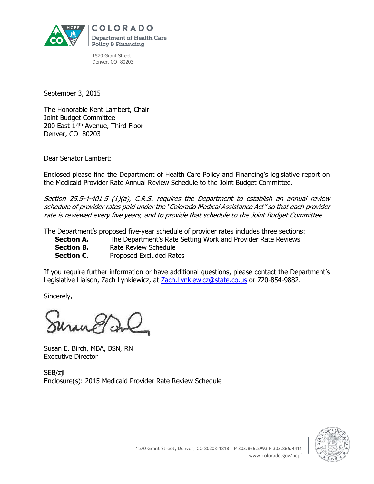

**COLORADO Department of Health Care** Policy & Financing

1570 Grant Street Denver, CO 80203

September 3, 2015

The Honorable Kent Lambert, Chair Joint Budget Committee 200 East 14<sup>th</sup> Avenue, Third Floor Denver, CO 80203

Dear Senator Lambert:

Enclosed please find the Department of Health Care Policy and Financing's legislative report on the Medicaid Provider Rate Annual Review Schedule to the Joint Budget Committee.

Section 25.5-4-401.5 (1)(a), C.R.S. requires the Department to establish an annual review schedule of provider rates paid under the "Colorado Medical Assistance Act" so that each provider rate is reviewed every five years, and to provide that schedule to the Joint Budget Committee.

The Department's proposed five-year schedule of provider rates includes three sections:

**Section A.** The Department's Rate Setting Work and Provider Rate Reviews

- **Section B.** Rate Review Schedule
- **Section C.** Proposed Excluded Rates

If you require further information or have additional questions, please contact the Department's Legislative Liaison, Zach Lynkiewicz, at [Zach.Lynkiewicz@state.co.us](mailto:Zach.Lynkiewicz@state.co.us) or 720-854-9882.

Sincerely,

Susan E. Birch, MBA, BSN, RN Executive Director

SEB/zjl Enclosure(s): 2015 Medicaid Provider Rate Review Schedule

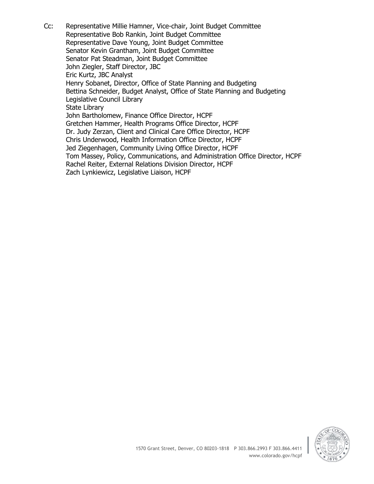Cc: Representative Millie Hamner, Vice-chair, Joint Budget Committee Representative Bob Rankin, Joint Budget Committee Representative Dave Young, Joint Budget Committee Senator Kevin Grantham, Joint Budget Committee Senator Pat Steadman, Joint Budget Committee John Ziegler, Staff Director, JBC Eric Kurtz, JBC Analyst Henry Sobanet, Director, Office of State Planning and Budgeting Bettina Schneider, Budget Analyst, Office of State Planning and Budgeting Legislative Council Library State Library John Bartholomew, Finance Office Director, HCPF Gretchen Hammer, Health Programs Office Director, HCPF Dr. Judy Zerzan, Client and Clinical Care Office Director, HCPF Chris Underwood, Health Information Office Director, HCPF Jed Ziegenhagen, Community Living Office Director, HCPF Tom Massey, Policy, Communications, and Administration Office Director, HCPF Rachel Reiter, External Relations Division Director, HCPF Zach Lynkiewicz, Legislative Liaison, HCPF

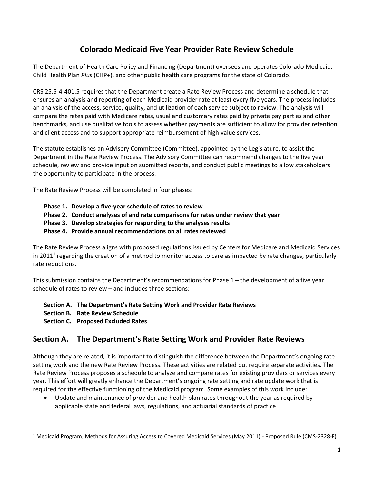# **Colorado Medicaid Five Year Provider Rate Review Schedule**

The Department of Health Care Policy and Financing (Department) oversees and operates Colorado Medicaid, Child Health Plan *Plus* (CHP+), and other public health care programs for the state of Colorado.

CRS 25.5-4-401.5 requires that the Department create a Rate Review Process and determine a schedule that ensures an analysis and reporting of each Medicaid provider rate at least every five years. The process includes an analysis of the access, service, quality, and utilization of each service subject to review. The analysis will compare the rates paid with Medicare rates, usual and customary rates paid by private pay parties and other benchmarks, and use qualitative tools to assess whether payments are sufficient to allow for provider retention and client access and to support appropriate reimbursement of high value services.

The statute establishes an Advisory Committee (Committee), appointed by the Legislature, to assist the Department in the Rate Review Process. The Advisory Committee can recommend changes to the five year schedule, review and provide input on submitted reports, and conduct public meetings to allow stakeholders the opportunity to participate in the process.

The Rate Review Process will be completed in four phases:

- **Phase 1. Develop a five-year schedule of rates to review**
- **Phase 2. Conduct analyses of and rate comparisons for rates under review that year**
- **Phase 3. Develop strategies for responding to the analyses results**
- **Phase 4. Provide annual recommendations on all rates reviewed**

The Rate Review Process aligns with proposed regulations issued by Centers for Medicare and Medicaid Services in 2011<sup>1</sup> regarding the creation of a method to monitor access to care as impacted by rate changes, particularly rate reductions.

This submission contains the Department's recommendations for Phase 1 – the development of a five year schedule of rates to review – and includes three sections:

- **Section A. The Department's Rate Setting Work and Provider Rate Reviews**
- **Section B. Rate Review Schedule**

 $\overline{\phantom{a}}$ 

**Section C. Proposed Excluded Rates**

# **Section A. The Department's Rate Setting Work and Provider Rate Reviews**

Although they are related, it is important to distinguish the difference between the Department's ongoing rate setting work and the new Rate Review Process. These activities are related but require separate activities. The Rate Review Process proposes a schedule to analyze and compare rates for existing providers or services every year. This effort will greatly enhance the Department's ongoing rate setting and rate update work that is required for the effective functioning of the Medicaid program. Some examples of this work include:

 Update and maintenance of provider and health plan rates throughout the year as required by applicable state and federal laws, regulations, and actuarial standards of practice

<sup>1</sup> Medicaid Program; Methods for Assuring Access to Covered Medicaid Services (May 2011) - Proposed Rule (CMS-2328-F)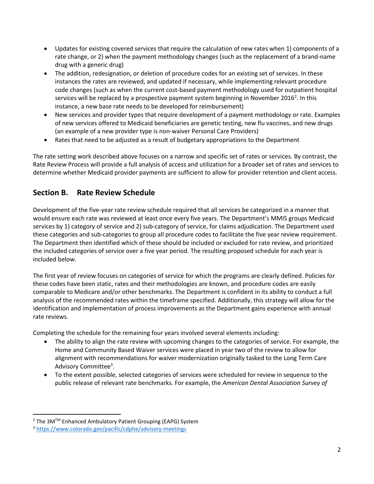- Updates for existing covered services that require the calculation of new rates when 1) components of a rate change, or 2) when the payment methodology changes (such as the replacement of a brand-name drug with a generic drug)
- The addition, redesignation, or deletion of procedure codes for an existing set of services. In these instances the rates are reviewed, and updated if necessary, while implementing relevant procedure code changes (such as when the current cost-based payment methodology used for outpatient hospital services will be replaced by a prospective payment system beginning in November 2016<sup>2</sup>. In this instance, a new base rate needs to be developed for reimbursement)
- New services and provider types that require development of a payment methodology or rate. Examples of new services offered to Medicaid beneficiaries are genetic testing, new flu vaccines, and new drugs (an example of a new provider type is non-waiver Personal Care Providers)
- Rates that need to be adjusted as a result of budgetary appropriations to the Department

The rate setting work described above focuses on a narrow and specific set of rates or services. By contrast, the Rate Review Process will provide a full analysis of access and utilization for a broader set of rates and services to determine whether Medicaid provider payments are sufficient to allow for provider retention and client access.

# **Section B. Rate Review Schedule**

Development of the five-year rate review schedule required that all services be categorized in a manner that would ensure each rate was reviewed at least once every five years. The Department's MMIS groups Medicaid services by 1) category of service and 2) sub-category of service, for claims adjudication. The Department used these categories and sub-categories to group all procedure codes to facilitate the five year review requirement. The Department then identified which of these should be included or excluded for rate review, and prioritized the included categories of service over a five year period. The resulting proposed schedule for each year is included below.

The first year of review focuses on categories of service for which the programs are clearly defined. Policies for these codes have been static, rates and their methodologies are known, and procedure codes are easily comparable to Medicare and/or other benchmarks. The Department is confident in its ability to conduct a full analysis of the recommended rates within the timeframe specified. Additionally, this strategy will allow for the identification and implementation of process improvements as the Department gains experience with annual rate reviews.

Completing the schedule for the remaining four years involved several elements including:

- The ability to align the rate review with upcoming changes to the categories of service. For example, the Home and Community Based Waiver services were placed in year two of the review to allow for alignment with recommendations for waiver modernization originally tasked to the Long Term Care Advisory Committee<sup>3</sup>.
- To the extent possible, selected categories of services were scheduled for review in sequence to the public release of relevant rate benchmarks. For example, the *American Dental Association Survey of*

 $\overline{\phantom{a}}$ 

<sup>&</sup>lt;sup>2</sup> The 3M™ Enhanced Ambulatory Patient Grouping (EAPG) System

<sup>3</sup> <https://www.colorado.gov/pacific/cdphe/advisory-meetings>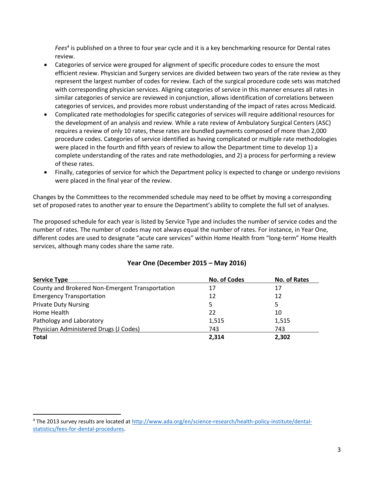*Fees<sup>4</sup>* is published on a three to four year cycle and it is a key benchmarking resource for Dental rates review.

- Categories of service were grouped for alignment of specific procedure codes to ensure the most efficient review. Physician and Surgery services are divided between two years of the rate review as they represent the largest number of codes for review. Each of the surgical procedure code sets was matched with corresponding physician services. Aligning categories of service in this manner ensures all rates in similar categories of service are reviewed in conjunction, allows identification of correlations between categories of services, and provides more robust understanding of the impact of rates across Medicaid.
- Complicated rate methodologies for specific categories of services will require additional resources for the development of an analysis and review. While a rate review of Ambulatory Surgical Centers (ASC) requires a review of only 10 rates, these rates are bundled payments composed of more than 2,000 procedure codes. Categories of service identified as having complicated or multiple rate methodologies were placed in the fourth and fifth years of review to allow the Department time to develop 1) a complete understanding of the rates and rate methodologies, and 2) a process for performing a review of these rates.
- Finally, categories of service for which the Department policy is expected to change or undergo revisions were placed in the final year of the review.

Changes by the Committees to the recommended schedule may need to be offset by moving a corresponding set of proposed rates to another year to ensure the Department's ability to complete the full set of analyses.

The proposed schedule for each year is listed by Service Type and includes the number of service codes and the number of rates. The number of codes may not always equal the number of rates. For instance, in Year One, different codes are used to designate "acute care services" within Home Health from "long-term" Home Health services, although many codes share the same rate.

| <b>Service Type</b>                             | <b>No. of Codes</b> | No. of Rates |
|-------------------------------------------------|---------------------|--------------|
| County and Brokered Non-Emergent Transportation | 17                  | 17           |
| <b>Emergency Transportation</b>                 | 12                  | 12           |
| <b>Private Duty Nursing</b>                     | 5                   | 5.           |
| Home Health                                     | 22                  | 10           |
| Pathology and Laboratory                        | 1,515               | 1,515        |
| Physician Administered Drugs (J Codes)          | 743                 | 743          |
| <b>Total</b>                                    | 2.314               | 2.302        |

## **Year One (December 2015 – May 2016)**

 $\overline{\phantom{a}}$ 

<sup>4</sup> The 2013 survey results are located at [http://www.ada.org/en/science-research/health-policy-institute/dental](http://www.ada.org/en/science-research/health-policy-institute/dental-statistics/fees-for-dental-procedures)[statistics/fees-for-dental-procedures.](http://www.ada.org/en/science-research/health-policy-institute/dental-statistics/fees-for-dental-procedures)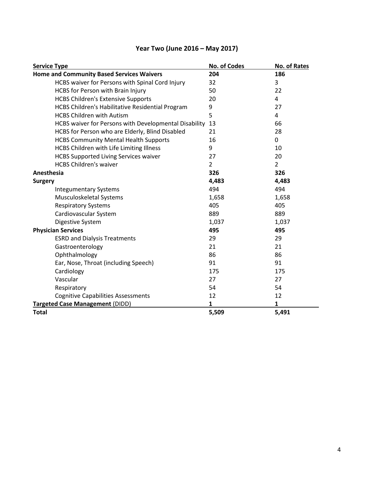| Year Two (June 2016 – May 2017) |
|---------------------------------|
|---------------------------------|

| 204<br>186<br>HCBS waiver for Persons with Spinal Cord Injury<br>3<br>32<br>22<br>HCBS for Person with Brain Injury<br>50<br><b>HCBS Children's Extensive Supports</b><br>20<br>4<br>HCBS Children's Habilitative Residential Program<br>9<br>27<br>5<br><b>HCBS Children with Autism</b><br>4<br>HCBS waiver for Persons with Developmental Disability<br>13<br>66<br>HCBS for Person who are Elderly, Blind Disabled<br>28<br>21<br><b>HCBS Community Mental Health Supports</b><br>16<br>0<br>HCBS Children with Life Limiting Illness<br>9<br>10<br><b>HCBS Supported Living Services waiver</b><br>27<br>20<br><b>HCBS Children's waiver</b><br>$\overline{2}$<br>$\overline{2}$<br>326<br>326<br>4,483<br>4,483<br>494<br>494<br><b>Integumentary Systems</b><br>Musculoskeletal Systems<br>1,658<br>1,658<br><b>Respiratory Systems</b><br>405<br>405<br>Cardiovascular System<br>889<br>889<br>Digestive System<br>1,037<br>1,037<br>495<br>495<br>29<br><b>ESRD and Dialysis Treatments</b><br>29<br>Gastroenterology<br>21<br>21<br>86<br>86<br>Ophthalmology<br>91<br>Ear, Nose, Throat (including Speech)<br>91<br>Cardiology<br>175<br>175<br>Vascular<br>27<br>27<br>Respiratory<br>54<br>54<br><b>Cognitive Capabilities Assessments</b><br>12<br>12<br>1<br>1<br>5,491<br>5,509 | <b>Service Type</b>                              | No. of Codes | No. of Rates |
|-------------------------------------------------------------------------------------------------------------------------------------------------------------------------------------------------------------------------------------------------------------------------------------------------------------------------------------------------------------------------------------------------------------------------------------------------------------------------------------------------------------------------------------------------------------------------------------------------------------------------------------------------------------------------------------------------------------------------------------------------------------------------------------------------------------------------------------------------------------------------------------------------------------------------------------------------------------------------------------------------------------------------------------------------------------------------------------------------------------------------------------------------------------------------------------------------------------------------------------------------------------------------------------------------|--------------------------------------------------|--------------|--------------|
|                                                                                                                                                                                                                                                                                                                                                                                                                                                                                                                                                                                                                                                                                                                                                                                                                                                                                                                                                                                                                                                                                                                                                                                                                                                                                                 | <b>Home and Community Based Services Waivers</b> |              |              |
|                                                                                                                                                                                                                                                                                                                                                                                                                                                                                                                                                                                                                                                                                                                                                                                                                                                                                                                                                                                                                                                                                                                                                                                                                                                                                                 |                                                  |              |              |
|                                                                                                                                                                                                                                                                                                                                                                                                                                                                                                                                                                                                                                                                                                                                                                                                                                                                                                                                                                                                                                                                                                                                                                                                                                                                                                 |                                                  |              |              |
|                                                                                                                                                                                                                                                                                                                                                                                                                                                                                                                                                                                                                                                                                                                                                                                                                                                                                                                                                                                                                                                                                                                                                                                                                                                                                                 |                                                  |              |              |
|                                                                                                                                                                                                                                                                                                                                                                                                                                                                                                                                                                                                                                                                                                                                                                                                                                                                                                                                                                                                                                                                                                                                                                                                                                                                                                 |                                                  |              |              |
|                                                                                                                                                                                                                                                                                                                                                                                                                                                                                                                                                                                                                                                                                                                                                                                                                                                                                                                                                                                                                                                                                                                                                                                                                                                                                                 |                                                  |              |              |
|                                                                                                                                                                                                                                                                                                                                                                                                                                                                                                                                                                                                                                                                                                                                                                                                                                                                                                                                                                                                                                                                                                                                                                                                                                                                                                 |                                                  |              |              |
|                                                                                                                                                                                                                                                                                                                                                                                                                                                                                                                                                                                                                                                                                                                                                                                                                                                                                                                                                                                                                                                                                                                                                                                                                                                                                                 |                                                  |              |              |
|                                                                                                                                                                                                                                                                                                                                                                                                                                                                                                                                                                                                                                                                                                                                                                                                                                                                                                                                                                                                                                                                                                                                                                                                                                                                                                 |                                                  |              |              |
|                                                                                                                                                                                                                                                                                                                                                                                                                                                                                                                                                                                                                                                                                                                                                                                                                                                                                                                                                                                                                                                                                                                                                                                                                                                                                                 |                                                  |              |              |
|                                                                                                                                                                                                                                                                                                                                                                                                                                                                                                                                                                                                                                                                                                                                                                                                                                                                                                                                                                                                                                                                                                                                                                                                                                                                                                 |                                                  |              |              |
|                                                                                                                                                                                                                                                                                                                                                                                                                                                                                                                                                                                                                                                                                                                                                                                                                                                                                                                                                                                                                                                                                                                                                                                                                                                                                                 |                                                  |              |              |
|                                                                                                                                                                                                                                                                                                                                                                                                                                                                                                                                                                                                                                                                                                                                                                                                                                                                                                                                                                                                                                                                                                                                                                                                                                                                                                 | Anesthesia                                       |              |              |
|                                                                                                                                                                                                                                                                                                                                                                                                                                                                                                                                                                                                                                                                                                                                                                                                                                                                                                                                                                                                                                                                                                                                                                                                                                                                                                 | <b>Surgery</b>                                   |              |              |
|                                                                                                                                                                                                                                                                                                                                                                                                                                                                                                                                                                                                                                                                                                                                                                                                                                                                                                                                                                                                                                                                                                                                                                                                                                                                                                 |                                                  |              |              |
|                                                                                                                                                                                                                                                                                                                                                                                                                                                                                                                                                                                                                                                                                                                                                                                                                                                                                                                                                                                                                                                                                                                                                                                                                                                                                                 |                                                  |              |              |
|                                                                                                                                                                                                                                                                                                                                                                                                                                                                                                                                                                                                                                                                                                                                                                                                                                                                                                                                                                                                                                                                                                                                                                                                                                                                                                 |                                                  |              |              |
|                                                                                                                                                                                                                                                                                                                                                                                                                                                                                                                                                                                                                                                                                                                                                                                                                                                                                                                                                                                                                                                                                                                                                                                                                                                                                                 |                                                  |              |              |
|                                                                                                                                                                                                                                                                                                                                                                                                                                                                                                                                                                                                                                                                                                                                                                                                                                                                                                                                                                                                                                                                                                                                                                                                                                                                                                 |                                                  |              |              |
|                                                                                                                                                                                                                                                                                                                                                                                                                                                                                                                                                                                                                                                                                                                                                                                                                                                                                                                                                                                                                                                                                                                                                                                                                                                                                                 | <b>Physician Services</b>                        |              |              |
|                                                                                                                                                                                                                                                                                                                                                                                                                                                                                                                                                                                                                                                                                                                                                                                                                                                                                                                                                                                                                                                                                                                                                                                                                                                                                                 |                                                  |              |              |
|                                                                                                                                                                                                                                                                                                                                                                                                                                                                                                                                                                                                                                                                                                                                                                                                                                                                                                                                                                                                                                                                                                                                                                                                                                                                                                 |                                                  |              |              |
|                                                                                                                                                                                                                                                                                                                                                                                                                                                                                                                                                                                                                                                                                                                                                                                                                                                                                                                                                                                                                                                                                                                                                                                                                                                                                                 |                                                  |              |              |
|                                                                                                                                                                                                                                                                                                                                                                                                                                                                                                                                                                                                                                                                                                                                                                                                                                                                                                                                                                                                                                                                                                                                                                                                                                                                                                 |                                                  |              |              |
|                                                                                                                                                                                                                                                                                                                                                                                                                                                                                                                                                                                                                                                                                                                                                                                                                                                                                                                                                                                                                                                                                                                                                                                                                                                                                                 |                                                  |              |              |
|                                                                                                                                                                                                                                                                                                                                                                                                                                                                                                                                                                                                                                                                                                                                                                                                                                                                                                                                                                                                                                                                                                                                                                                                                                                                                                 |                                                  |              |              |
|                                                                                                                                                                                                                                                                                                                                                                                                                                                                                                                                                                                                                                                                                                                                                                                                                                                                                                                                                                                                                                                                                                                                                                                                                                                                                                 |                                                  |              |              |
|                                                                                                                                                                                                                                                                                                                                                                                                                                                                                                                                                                                                                                                                                                                                                                                                                                                                                                                                                                                                                                                                                                                                                                                                                                                                                                 |                                                  |              |              |
|                                                                                                                                                                                                                                                                                                                                                                                                                                                                                                                                                                                                                                                                                                                                                                                                                                                                                                                                                                                                                                                                                                                                                                                                                                                                                                 | <b>Targeted Case Management (DIDD)</b>           |              |              |
|                                                                                                                                                                                                                                                                                                                                                                                                                                                                                                                                                                                                                                                                                                                                                                                                                                                                                                                                                                                                                                                                                                                                                                                                                                                                                                 | <b>Total</b>                                     |              |              |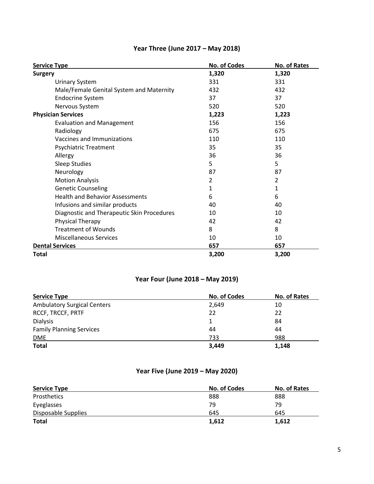| <b>Service Type</b>                        | No. of Codes | No. of Rates |
|--------------------------------------------|--------------|--------------|
| <b>Surgery</b>                             | 1,320        | 1,320        |
| <b>Urinary System</b>                      | 331          | 331          |
| Male/Female Genital System and Maternity   | 432          | 432          |
| <b>Endocrine System</b>                    | 37           | 37           |
| Nervous System                             | 520          | 520          |
| <b>Physician Services</b>                  | 1,223        | 1,223        |
| <b>Evaluation and Management</b>           | 156          | 156          |
| Radiology                                  | 675          | 675          |
| Vaccines and Immunizations                 | 110          | 110          |
| <b>Psychiatric Treatment</b>               | 35           | 35           |
| Allergy                                    | 36           | 36           |
| <b>Sleep Studies</b>                       | 5            | 5            |
| Neurology                                  | 87           | 87           |
| <b>Motion Analysis</b>                     | 2            | 2            |
| <b>Genetic Counseling</b>                  | 1            | 1            |
| <b>Health and Behavior Assessments</b>     | 6            | 6            |
| Infusions and similar products             | 40           | 40           |
| Diagnostic and Therapeutic Skin Procedures | 10           | 10           |
| Physical Therapy                           | 42           | 42           |
| <b>Treatment of Wounds</b>                 | 8            | 8            |
| <b>Miscellaneous Services</b>              | 10           | 10           |
| <b>Dental Services</b>                     | 657          | 657          |
| <b>Total</b>                               | 3,200        | 3,200        |

# **Year Three (June 2017 – May 2018)**

## **Year Four (June 2018 – May 2019)**

| <b>Service Type</b>                | <b>No. of Codes</b> | No. of Rates |
|------------------------------------|---------------------|--------------|
| <b>Ambulatory Surgical Centers</b> | 2.649               | 10           |
| <b>RCCF, TRCCF, PRTF</b>           | 22                  | 22           |
| <b>Dialysis</b>                    |                     | 84           |
| <b>Family Planning Services</b>    | 44                  | 44           |
| DME                                | 733                 | 988          |
| <b>Total</b>                       | 3,449               | 1,148        |

# **Year Five (June 2019 – May 2020)**

| <b>Service Type</b> | <b>No. of Codes</b> | No. of Rates |
|---------------------|---------------------|--------------|
| Prosthetics         | 888                 | 888          |
| Eyeglasses          | 79                  | 79           |
| Disposable Supplies | 645                 | 645          |
| <b>Total</b>        | 1,612               | 1,612        |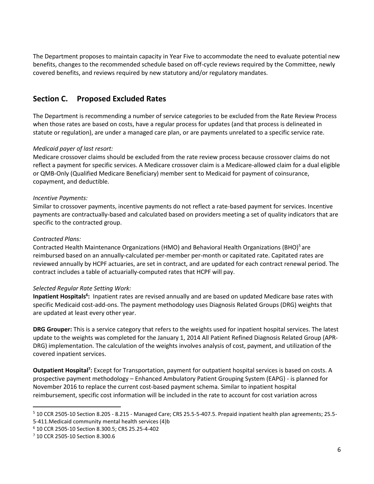The Department proposes to maintain capacity in Year Five to accommodate the need to evaluate potential new benefits, changes to the recommended schedule based on off-cycle reviews required by the Committee, newly covered benefits, and reviews required by new statutory and/or regulatory mandates.

## **Section C. Proposed Excluded Rates**

The Department is recommending a number of service categories to be excluded from the Rate Review Process when those rates are based on costs, have a regular process for updates (and that process is delineated in statute or regulation), are under a managed care plan, or are payments unrelated to a specific service rate.

## *Medicaid payer of last resort:*

Medicare crossover claims should be excluded from the rate review process because crossover claims do not reflect a payment for specific services. A Medicare crossover claim is a Medicare-allowed claim for a dual eligible or QMB-Only (Qualified Medicare Beneficiary) member sent to Medicaid for payment of coinsurance, copayment, and deductible.

## *Incentive Payments:*

Similar to crossover payments, incentive payments do not reflect a rate-based payment for services. Incentive payments are contractually-based and calculated based on providers meeting a set of quality indicators that are specific to the contracted group.

### *Contracted Plans:*

Contracted Health Maintenance Organizations (HMO) and Behavioral Health Organizations (BHO)<sup>5</sup> are reimbursed based on an annually-calculated per-member per-month or capitated rate. Capitated rates are reviewed annually by HCPF actuaries, are set in contract, and are updated for each contract renewal period. The contract includes a table of actuarially-computed rates that HCPF will pay.

### *Selected Regular Rate Setting Work:*

Inpatient Hospitals<sup>6</sup>: Inpatient rates are revised annually and are based on updated Medicare base rates with specific Medicaid cost-add-ons. The payment methodology uses Diagnosis Related Groups (DRG) weights that are updated at least every other year.

**DRG Grouper:** This is a service category that refers to the weights used for inpatient hospital services. The latest update to the weights was completed for the January 1, 2014 All Patient Refined Diagnosis Related Group (APR-DRG) implementation. The calculation of the weights involves analysis of cost, payment, and utilization of the covered inpatient services.

**Outpatient Hospital<sup>7</sup> :** Except for Transportation, payment for outpatient hospital services is based on costs. A prospective payment methodology – Enhanced Ambulatory Patient Grouping System (EAPG) - is planned for November 2016 to replace the current cost-based payment schema. Similar to inpatient hospital reimbursement, specific cost information will be included in the rate to account for cost variation across

 $\overline{a}$ 

<sup>5</sup> 10 CCR 2505-10 Section 8.205 - 8.215 - Managed Care; CRS 25.5-5-407.5. Prepaid inpatient health plan agreements; 25.5- 5-411.Medicaid community mental health services (4)b

<sup>6</sup> 10 CCR 2505-10 Section 8.300.5; CRS 25.25-4-402

<sup>7</sup> 10 CCR 2505-10 Section 8.300.6